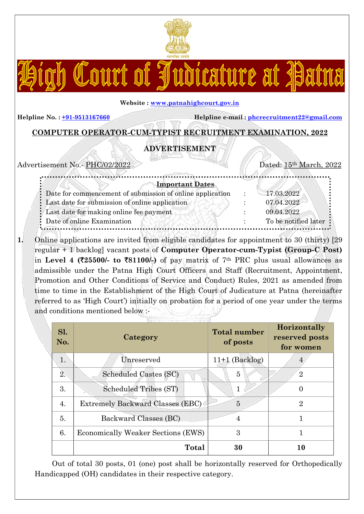

Court of Judicature at Patma

#### Website : www.patnahighcourt.gov.in

Helpline No. :  $\pm 91-9513167660$  Helpline e-mail : phcrecruitment22@gmail.com

# COMPUTER OPERATOR-CUM-TYPIST RECRUITMENT EXAMINATION, 2022

# ADVERTISEMENT

| Advertisement No.- PHC/02/2022                              | Dated: 15 <sup>th</sup> March, 2022 |
|-------------------------------------------------------------|-------------------------------------|
| <b>Important Dates</b>                                      |                                     |
| : Date for commencement of submission of online application | 17.03.2022                          |
| : Last date for submission of online application            | 07.04.2022                          |
| : Last date for making online fee payment                   | 09.04.2022                          |
| : Date of online Examination                                | To be notified later                |

1. Online applications are invited from eligible candidates for appointment to 30 (thirty) [29] regular + 1 backlog] vacant posts of Computer Operator-cum-Typist (Group-C Post) in Level 4 ( $\overline{25500/-}$  to  $\overline{581100/-}$ ) of pay matrix of 7<sup>th</sup> PRC plus usual allowances as admissible under the Patna High Court Officers and Staff (Recruitment, Appointment, Promotion and Other Conditions of Service and Conduct) Rules, 2021 as amended from time to time in the Establishment of the High Court of Judicature at Patna (hereinafter referred to as 'High Court') initially on probation for a period of one year under the terms and conditions mentioned below :-

| Sl.<br>No. | Category                           | <b>Total number</b><br>of posts | Horizontally<br>reserved posts<br>for women |
|------------|------------------------------------|---------------------------------|---------------------------------------------|
| 1.         | Unreserved                         | $11+1$ (Backlog)                |                                             |
| 2.         | Scheduled Castes (SC)              | 5                               | $\overline{2}$                              |
| 3.         | Scheduled Tribes (ST)              | 1                               | $\overline{0}$                              |
| 4.         | Extremely Backward Classes (EBC)   | 5                               | $\overline{2}$                              |
| 5.         | Backward Classes (BC)              |                                 |                                             |
| 6.         | Economically Weaker Sections (EWS) | 3                               |                                             |
|            | <b>Total</b>                       | 30                              | 10                                          |

Out of total 30 posts, 01 (one) post shall be horizontally reserved for Orthopedically Handicapped (OH) candidates in their respective category.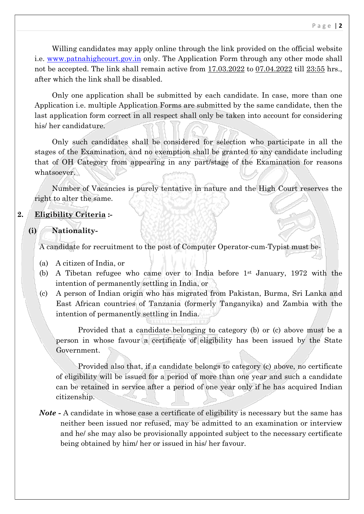Willing candidates may apply online through the link provided on the official website i.e. www.patnahighcourt.gov.in only. The Application Form through any other mode shall not be accepted. The link shall remain active from 17.03.2022 to 07.04.2022 till 23:55 hrs., after which the link shall be disabled.

Only one application shall be submitted by each candidate. In case, more than one Application i.e. multiple Application Forms are submitted by the same candidate, then the last application form correct in all respect shall only be taken into account for considering his/ her candidature.

Only such candidates shall be considered for selection who participate in all the stages of the Examination, and no exemption shall be granted to any candidate including that of OH Category from appearing in any part/stage of the Examination for reasons whatsoever.

Number of Vacancies is purely tentative in nature and the High Court reserves the right to alter the same.

# 2. Eligibility Criteria :-

(i) Nationality-

A candidate for recruitment to the post of Computer Operator-cum-Typist must be-

- (a) A citizen of India, or
- (b) A Tibetan refugee who came over to India before 1st January, 1972 with the intention of permanently settling in India, or
- (c) A person of Indian origin who has migrated from Pakistan, Burma, Sri Lanka and East African countries of Tanzania (formerly Tanganyika) and Zambia with the intention of permanently settling in India.

Provided that a candidate belonging to category (b) or (c) above must be a person in whose favour a certificate of eligibility has been issued by the State Government.

Provided also that, if a candidate belongs to category (c) above, no certificate of eligibility will be issued for a period of more than one year and such a candidate can be retained in service after a period of one year only if he has acquired Indian citizenship.

Note - A candidate in whose case a certificate of eligibility is necessary but the same has neither been issued nor refused, may be admitted to an examination or interview and he/ she may also be provisionally appointed subject to the necessary certificate being obtained by him/ her or issued in his/ her favour.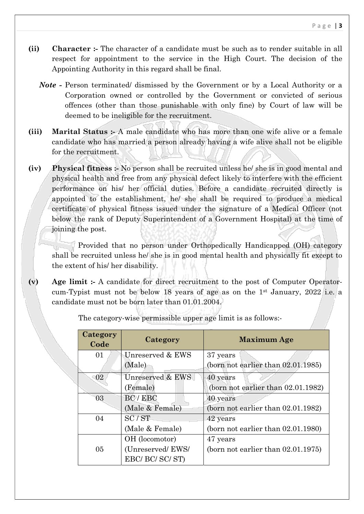- (ii) Character :- The character of a candidate must be such as to render suitable in all respect for appointment to the service in the High Court. The decision of the Appointing Authority in this regard shall be final.
	- Note Person terminated/ dismissed by the Government or by a Local Authority or a Corporation owned or controlled by the Government or convicted of serious offences (other than those punishable with only fine) by Court of law will be deemed to be ineligible for the recruitment.
- (iii) Marital Status :- A male candidate who has more than one wife alive or a female candidate who has married a person already having a wife alive shall not be eligible for the recruitment.
- (iv) Physical fitness :- No person shall be recruited unless he/ she is in good mental and physical health and free from any physical defect likely to interfere with the efficient performance on his/ her official duties. Before a candidate recruited directly is appointed to the establishment, he/ she shall be required to produce a medical certificate of physical fitness issued under the signature of a Medical Officer (not below the rank of Deputy Superintendent of a Government Hospital) at the time of joining the post.

Provided that no person under Orthopedically Handicapped (OH) category shall be recruited unless he/ she is in good mental health and physically fit except to the extent of his/ her disability.

(v) Age limit :- A candidate for direct recruitment to the post of Computer Operatorcum-Typist must not be below 18 years of age as on the 1st January, 2022 i.e. a candidate must not be born later than 01.01.2004.

| Category<br>Code | Category         | <b>Maximum Age</b>                    |
|------------------|------------------|---------------------------------------|
| 01               | Unreserved & EWS | 37 years                              |
|                  | (Male)           | (born not earlier than $02.01.1985$ ) |
| 02               | Unreserved & EWS | 40 years                              |
|                  | (Female)         | (born not earlier than $02.01.1982$ ) |
| 03               | BC / EBC         | 40 years                              |
|                  | (Male & Female)  | (born not earlier than $02.01.1982$ ) |
| 04               | SC / ST          | 42 years                              |
|                  | (Male & Female)  | (born not earlier than $02.01.1980$ ) |
|                  | OH (locomotor)   | 47 years                              |
| 05               | (Unreserved/EWS/ | (born not earlier than 02.01.1975)    |
|                  | EBC/ BC/ SC/ ST) |                                       |

The category-wise permissible upper age limit is as follows:-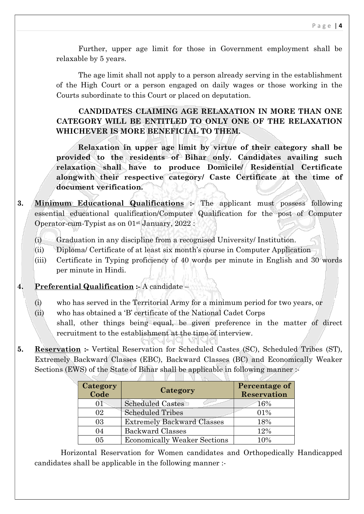Further, upper age limit for those in Government employment shall be relaxable by 5 years.

The age limit shall not apply to a person already serving in the establishment of the High Court or a person engaged on daily wages or those working in the Courts subordinate to this Court or placed on deputation.

# CANDIDATES CLAIMING AGE RELAXATION IN MORE THAN ONE CATEGORY WILL BE ENTITLED TO ONLY ONE OF THE RELAXATION WHICHEVER IS MORE BENEFICIAL TO THEM.

Relaxation in upper age limit by virtue of their category shall be provided to the residents of Bihar only. Candidates availing such relaxation shall have to produce Domicile/ Residential Certificate alongwith their respective category/ Caste Certificate at the time of document verification.

- 3. Minimum Educational Qualifications :- The applicant must possess following essential educational qualification/Computer Qualification for the post of Computer Operator-cum-Typist as on 01st January, 2022 :
	- $(i)$  Graduation in any discipline from a recognised University/ Institution.
	- (ii) Diploma/ Certificate of at least six month's course in Computer Application
	- (iii) Certificate in Typing proficiency of 40 words per minute in English and 30 words per minute in Hindi.

#### 4. Preferential Qualification :- A candidate –

- (i) who has served in the Territorial Army for a minimum period for two years, or
- (ii) who has obtained a 'B' certificate of the National Cadet Corps shall, other things being equal, be given preference in the matter of direct recruitment to the establishment at the time of interview.

チョロ 작법의 퇴직이

5. Reservation :- Vertical Reservation for Scheduled Castes (SC), Scheduled Tribes (ST), Extremely Backward Classes (EBC), Backward Classes (BC) and Economically Weaker Sections (EWS) of the State of Bihar shall be applicable in following manner :-

| Category<br>Code | Category                            | Percentage of<br><b>Reservation</b> |
|------------------|-------------------------------------|-------------------------------------|
| $^{01}$          | <b>Scheduled Castes</b>             | 16%                                 |
| 02               | <b>Scheduled Tribes</b>             | 01%                                 |
| 03               | <b>Extremely Backward Classes</b>   | 18%                                 |
| 04               | <b>Backward Classes</b>             | 12%                                 |
| 05               | <b>Economically Weaker Sections</b> | 10%                                 |

**Links** 

Horizontal Reservation for Women candidates and Orthopedically Handicapped candidates shall be applicable in the following manner :-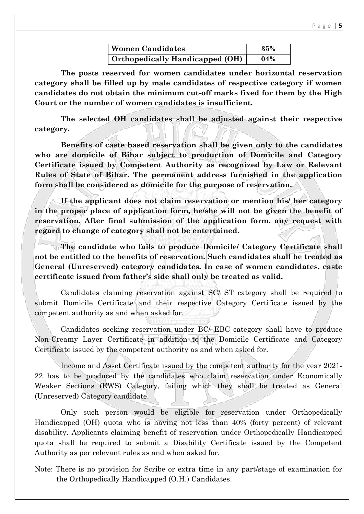| <b>Women Candidates</b>                | 35% |
|----------------------------------------|-----|
| <b>Orthopedically Handicapped (OH)</b> | 04% |

The posts reserved for women candidates under horizontal reservation category shall be filled up by male candidates of respective category if women candidates do not obtain the minimum cut-off marks fixed for them by the High Court or the number of women candidates is insufficient.

The selected OH candidates shall be adjusted against their respective category.

Benefits of caste based reservation shall be given only to the candidates who are domicile of Bihar subject to production of Domicile and Category Certificate issued by Competent Authority as recognized by Law or Relevant Rules of State of Bihar. The permanent address furnished in the application form shall be considered as domicile for the purpose of reservation.

If the applicant does not claim reservation or mention his/ her category in the proper place of application form, he/she will not be given the benefit of reservation. After final submission of the application form, any request with regard to change of category shall not be entertained.

The candidate who fails to produce Domicile/ Category Certificate shall not be entitled to the benefits of reservation. Such candidates shall be treated as General (Unreserved) category candidates. In case of women candidates, caste certificate issued from father's side shall only be treated as valid.

Candidates claiming reservation against SC/ ST category shall be required to submit Domicile Certificate and their respective Category Certificate issued by the competent authority as and when asked for.

Candidates seeking reservation under BC/ EBC category shall have to produce Non-Creamy Layer Certificate in addition to the Domicile Certificate and Category Certificate issued by the competent authority as and when asked for.

Income and Asset Certificate issued by the competent authority for the year 2021- 22 has to be produced by the candidates who claim reservation under Economically Weaker Sections (EWS) Category, failing which they shall be treated as General (Unreserved) Category candidate.

Only such person would be eligible for reservation under Orthopedically Handicapped (OH) quota who is having not less than 40% (forty percent) of relevant disability. Applicants claiming benefit of reservation under Orthopedically Handicapped quota shall be required to submit a Disability Certificate issued by the Competent Authority as per relevant rules as and when asked for.

Note: There is no provision for Scribe or extra time in any part/stage of examination for the Orthopedically Handicapped (O.H.) Candidates.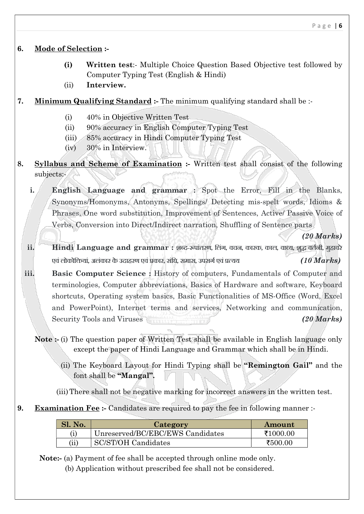# 6. Mode of Selection :-

- (i) Written test:- Multiple Choice Question Based Objective test followed by Computer Typing Test (English & Hindi)
- (ii) Interview.

# 7. Minimum Qualifying Standard :- The minimum qualifying standard shall be :-

- (i) 40% in Objective Written Test
- (ii) 90% accuracy in English Computer Typing Test
- (iii) 85% accuracy in Hindi Computer Typing Test
- (iv) 30% in Interview.
- 8. Syllabus and Scheme of Examination :- Written test shall consist of the following subjects:-

i. English Language and grammar : Spot the Error, Fill in the Blanks, Synonyms/Homonyms, Antonyms, Spellings/ Detecting mis-spelt words, Idioms & Phrases, One word substitution, Improvement of Sentences, Active/ Passive Voice of Verbs, Conversion into Direct/Indirect narration, Shuffling of Sentence parts

(20 Marks)

- ii. Hindi Language and grammar : शब्द-रूपांतरण, लिंग, वचन, कारक, काल, वाच्य, शुद्ध वर्तनी, मुहावरे एवं लोकोक्तियां, अलंकार के उदाहरण एवं प्रकार, संधि, समास, उपसर्ग एवं प्रत्यय  $(10 \text{ Marks})$
- iii. Basic Computer Science : History of computers, Fundamentals of Computer and terminologies, Computer abbreviations, Basics of Hardware and software, Keyboard shortcuts, Operating system basics, Basic Functionalities of MS-Office (Word, Excel and PowerPoint), Internet terms and services, Networking and communication, Security Tools and Viruses (20 Marks)

Note :- (i) The question paper of Written Test shall be available in English language only except the paper of Hindi Language and Grammar which shall be in Hindi.

(ii) The Keyboard Layout for Hindi Typing shall be "Remington Gail" and the font shall be "Mangal".

(iii)There shall not be negative marking for incorrect answers in the written test.

9. Examination Fee :- Candidates are required to pay the fee in following manner :-

| <b>Sl. No.</b>  | Category                         | Amount   |
|-----------------|----------------------------------|----------|
|                 | Unreserved/BC/EBC/EWS Candidates | ₹1000.00 |
| $(\mathrm{ii})$ | SC/ST/OH Candidates              | ₹500.00  |

Note:- (a) Payment of fee shall be accepted through online mode only.

(b) Application without prescribed fee shall not be considered.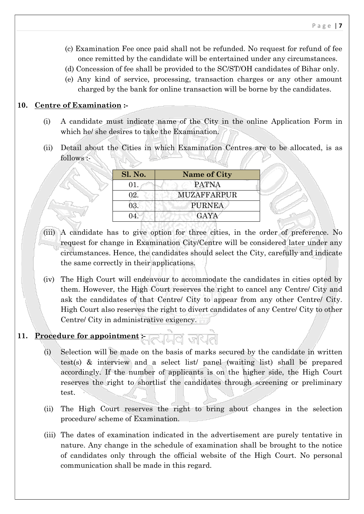- (c) Examination Fee once paid shall not be refunded. No request for refund of fee once remitted by the candidate will be entertained under any circumstances.
- (d) Concession of fee shall be provided to the SC/ST/OH candidates of Bihar only.
- (e) Any kind of service, processing, transaction charges or any other amount charged by the bank for online transaction will be borne by the candidates.

## 10. Centre of Examination :-

- (i) A candidate must indicate name of the City in the online Application Form in which he/ she desires to take the Examination.
- (ii) Detail about the Cities in which Examination Centres are to be allocated, is as follows :-

| Sl. No. | <b>Name of City</b> |
|---------|---------------------|
| 01.     | PATNA               |
| 02.     | <b>MUZAFFARPUR</b>  |
| 03.     | <b>PURNEA</b>       |
|         | <b>GAYA</b>         |

- (iii) A candidate has to give option for three cities, in the order of preference. No request for change in Examination City/Centre will be considered later under any circumstances. Hence, the candidates should select the City, carefully and indicate the same correctly in their applications.
- (iv) The High Court will endeavour to accommodate the candidates in cities opted by them. However, the High Court reserves the right to cancel any Centre/ City and ask the candidates of that Centre/ City to appear from any other Centre/ City. High Court also reserves the right to divert candidates of any Centre/ City to other Centre/ City in administrative exigency.

# 11. Procedure for appointment :-

- (i) Selection will be made on the basis of marks secured by the candidate in written test(s) & interview and a select list/ panel (waiting list) shall be prepared accordingly. If the number of applicants is on the higher side, the High Court reserves the right to shortlist the candidates through screening or preliminary test.
- (ii) The High Court reserves the right to bring about changes in the selection procedure/ scheme of Examination.
- (iii) The dates of examination indicated in the advertisement are purely tentative in nature. Any change in the schedule of examination shall be brought to the notice of candidates only through the official website of the High Court. No personal communication shall be made in this regard.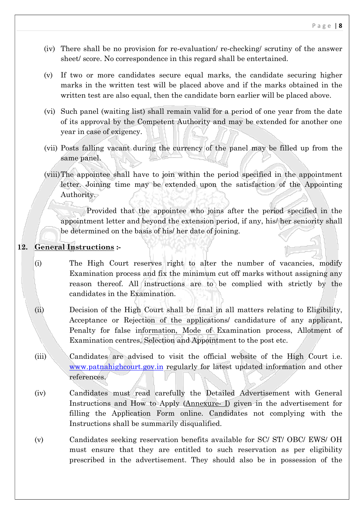- (iv) There shall be no provision for re-evaluation/ re-checking/ scrutiny of the answer sheet/ score. No correspondence in this regard shall be entertained.
- (v) If two or more candidates secure equal marks, the candidate securing higher marks in the written test will be placed above and if the marks obtained in the written test are also equal, then the candidate born earlier will be placed above.
- (vi) Such panel (waiting list) shall remain valid for a period of one year from the date of its approval by the Competent Authority and may be extended for another one year in case of exigency.
- (vii) Posts falling vacant during the currency of the panel may be filled up from the same panel.
- (viii)The appointee shall have to join within the period specified in the appointment letter. Joining time may be extended upon the satisfaction of the Appointing Authority.

Provided that the appointee who joins after the period specified in the appointment letter and beyond the extension period, if any, his/ her seniority shall be determined on the basis of his/ her date of joining.

## 12. General Instructions :-

- (i) The High Court reserves right to alter the number of vacancies, modify Examination process and fix the minimum cut off marks without assigning any reason thereof. All instructions are to be complied with strictly by the candidates in the Examination.
- (ii) Decision of the High Court shall be final in all matters relating to Eligibility, Acceptance or Rejection of the applications/ candidature of any applicant, Penalty for false information, Mode of Examination process, Allotment of Examination centres, Selection and Appointment to the post etc.
- (iii) Candidates are advised to visit the official website of the High Court i.e. www.patnahighcourt.gov.in regularly for latest updated information and other references.
- (iv) Candidates must read carefully the Detailed Advertisement with General Instructions and How to Apply (Annexure- I) given in the advertisement for filling the Application Form online. Candidates not complying with the Instructions shall be summarily disqualified.
- (v) Candidates seeking reservation benefits available for SC/ ST/ OBC/ EWS/ OH must ensure that they are entitled to such reservation as per eligibility prescribed in the advertisement. They should also be in possession of the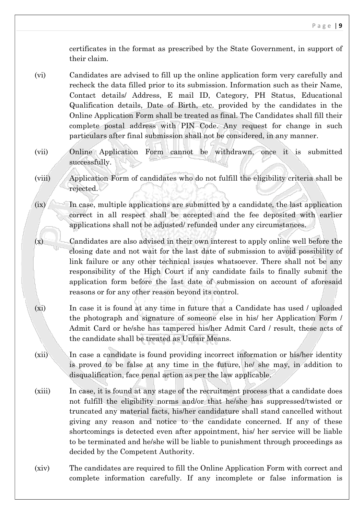certificates in the format as prescribed by the State Government, in support of their claim.

- (vi) Candidates are advised to fill up the online application form very carefully and recheck the data filled prior to its submission. Information such as their Name, Contact details/ Address, E mail ID, Category, PH Status, Educational Qualification details, Date of Birth, etc. provided by the candidates in the Online Application Form shall be treated as final. The Candidates shall fill their complete postal address with PIN Code. Any request for change in such particulars after final submission shall not be considered, in any manner.
- (vii) Online Application Form cannot be withdrawn, once it is submitted successfully.
- (viii) Application Form of candidates who do not fulfill the eligibility criteria shall be rejected.

 $(ix)$  In case, multiple applications are submitted by a candidate, the last application correct in all respect shall be accepted and the fee deposited with earlier applications shall not be adjusted/ refunded under any circumstances.

- $(x)$  Candidates are also advised in their own interest to apply online well before the closing date and not wait for the last date of submission to avoid possibility of link failure or any other technical issues whatsoever. There shall not be any responsibility of the High Court if any candidate fails to finally submit the application form before the last date of submission on account of aforesaid reasons or for any other reason beyond its control.
- (xi) In case it is found at any time in future that a Candidate has used / uploaded the photograph and signature of someone else in his/ her Application Form / Admit Card or he/she has tampered his/her Admit Card / result, these acts of the candidate shall be treated as Unfair Means.
- (xii) In case a candidate is found providing incorrect information or his/her identity is proved to be false at any time in the future, he/ she may, in addition to disqualification, face penal action as per the law applicable.
- (xiii) In case, it is found at any stage of the recruitment process that a candidate does not fulfill the eligibility norms and/or that he/she has suppressed/twisted or truncated any material facts, his/her candidature shall stand cancelled without giving any reason and notice to the candidate concerned. If any of these shortcomings is detected even after appointment, his/ her service will be liable to be terminated and he/she will be liable to punishment through proceedings as decided by the Competent Authority.
- (xiv) The candidates are required to fill the Online Application Form with correct and complete information carefully. If any incomplete or false information is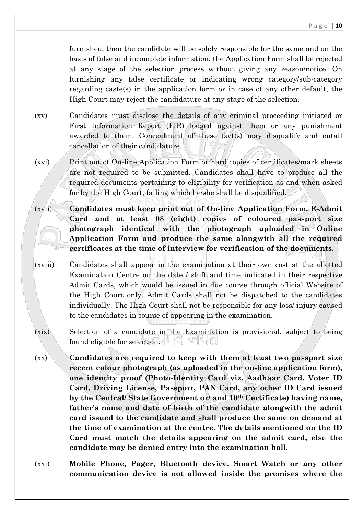furnished, then the candidate will be solely responsible for the same and on the basis of false and incomplete information, the Application Form shall be rejected at any stage of the selection process without giving any reason/notice. On furnishing any false certificate or indicating wrong category/sub-category regarding caste(s) in the application form or in case of any other default, the High Court may reject the candidature at any stage of the selection.

- (xv) Candidates must disclose the details of any criminal proceeding initiated or First Information Report (FIR) lodged against them or any punishment awarded to them. Concealment of these fact(s) may disqualify and entail cancellation of their candidature.
- (xvi) Print out of On-line Application Form or hard copies of certificates/mark sheets are not required to be submitted. Candidates shall have to produce all the required documents pertaining to eligibility for verification as and when asked for by the High Court, failing which he/she shall be disqualified.
- (xvii) Candidates must keep print out of On-line Application Form, E-Admit Card and at least 08 (eight) copies of coloured passport size photograph identical with the photograph uploaded in Online Application Form and produce the same alongwith all the required certificates at the time of interview for verification of the documents.
- (xviii) Candidates shall appear in the examination at their own cost at the allotted Examination Centre on the date / shift and time indicated in their respective Admit Cards, which would be issued in due course through official Website of the High Court only. Admit Cards shall not be dispatched to the candidates individually. The High Court shall not be responsible for any loss/ injury caused to the candidates in course of appearing in the examination.
- (xix) Selection of a candidate in the Examination is provisional, subject to being found eligible for selection.
- (xx) Candidates are required to keep with them at least two passport size recent colour photograph (as uploaded in the on-line application form), one identity proof (Photo-Identity Card viz. Aadhaar Card, Voter ID Card, Driving License, Passport, PAN Card, any other ID Card issued by the Central/ State Government or/ and 10th Certificate) having name, father's name and date of birth of the candidate alongwith the admit card issued to the candidate and shall produce the same on demand at the time of examination at the centre. The details mentioned on the ID Card must match the details appearing on the admit card, else the candidate may be denied entry into the examination hall.
- (xxi) Mobile Phone, Pager, Bluetooth device, Smart Watch or any other communication device is not allowed inside the premises where the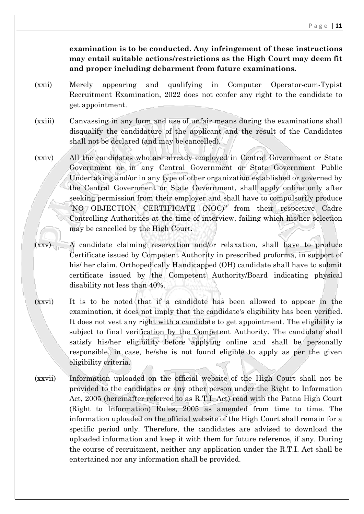examination is to be conducted. Any infringement of these instructions may entail suitable actions/restrictions as the High Court may deem fit and proper including debarment from future examinations.

- (xxii) Merely appearing and qualifying in Computer Operator-cum-Typist Recruitment Examination, 2022 does not confer any right to the candidate to get appointment.
- (xxiii) Canvassing in any form and use of unfair means during the examinations shall disqualify the candidature of the applicant and the result of the Candidates shall not be declared (and may be cancelled).
- (xxiv) All the candidates who are already employed in Central Government or State Government or in any Central Government or State Government Public Undertaking and/or in any type of other organization established or governed by the Central Government or State Government, shall apply online only after seeking permission from their employer and shall have to compulsorily produce "NO OBJECTION CERTIFICATE (NOC)" from their respective Cadre Controlling Authorities at the time of interview, failing which his/her selection may be cancelled by the High Court.
- (xxv) A candidate claiming reservation and/or relaxation, shall have to produce Certificate issued by Competent Authority in prescribed proforma, in support of his/ her claim. Orthopedically Handicapped (OH) candidate shall have to submit certificate issued by the Competent Authority/Board indicating physical disability not less than 40%.
- (xxvi) It is to be noted that if a candidate has been allowed to appear in the examination, it does not imply that the candidate's eligibility has been verified. It does not vest any right with a candidate to get appointment. The eligibility is subject to final verification by the Competent Authority. The candidate shall satisfy his/her eligibility before applying online and shall be personally responsible, in case, he/she is not found eligible to apply as per the given eligibility criteria.
- (xxvii) Information uploaded on the official website of the High Court shall not be provided to the candidates or any other person under the Right to Information Act, 2005 (hereinafter referred to as R.T.I. Act) read with the Patna High Court (Right to Information) Rules, 2005 as amended from time to time. The information uploaded on the official website of the High Court shall remain for a specific period only. Therefore, the candidates are advised to download the uploaded information and keep it with them for future reference, if any. During the course of recruitment, neither any application under the R.T.I. Act shall be entertained nor any information shall be provided.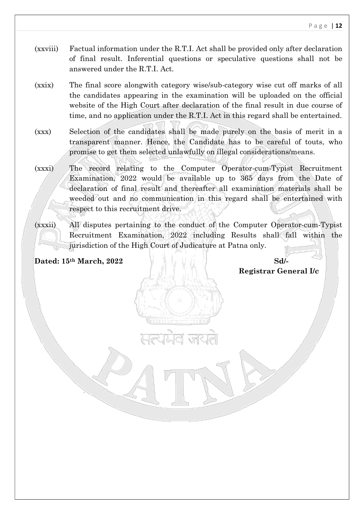- (xxviii) Factual information under the R.T.I. Act shall be provided only after declaration of final result. Inferential questions or speculative questions shall not be answered under the R.T.I. Act.
- (xxix) The final score alongwith category wise/sub-category wise cut off marks of all the candidates appearing in the examination will be uploaded on the official website of the High Court after declaration of the final result in due course of time, and no application under the R.T.I. Act in this regard shall be entertained.
- (xxx) Selection of the candidates shall be made purely on the basis of merit in a transparent manner. Hence, the Candidate has to be careful of touts, who promise to get them selected unlawfully on illegal considerations/means.

(xxxi) The record relating to the Computer Operator-cum-Typist Recruitment Examination, 2022 would be available up to 365 days from the Date of declaration of final result and thereafter all examination materials shall be weeded out and no communication in this regard shall be entertained with respect to this recruitment drive.

(xxxii) All disputes pertaining to the conduct of the Computer Operator-cum-Typist Recruitment Examination, 2022 including Results shall fall within the jurisdiction of the High Court of Judicature at Patna only.

 $\sim$   $\sim$ 

Dated: 15<sup>th</sup> March, 2022 Sd/-

Registrar General I/c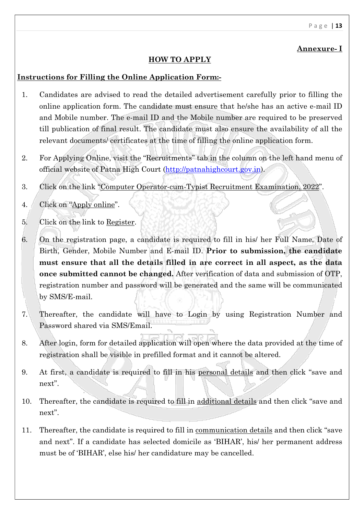# Annexure- I

# HOW TO APPLY

### Instructions for Filling the Online Application Form:-

- 1. Candidates are advised to read the detailed advertisement carefully prior to filling the online application form. The candidate must ensure that he/she has an active e-mail ID and Mobile number. The e-mail ID and the Mobile number are required to be preserved till publication of final result. The candidate must also ensure the availability of all the relevant documents/ certificates at the time of filling the online application form.
- 2. For Applying Online, visit the "Recruitments" tab in the column on the left hand menu of official website of Patna High Court (http://patnahighcourt.gov.in).
- 3. Click on the link "Computer Operator-cum-Typist Recruitment Examination, 2022".
- 4. Click on "Apply online".
- 5. Click on the link to Register.
- 6. On the registration page, a candidate is required to fill in his/ her Full Name, Date of Birth, Gender, Mobile Number and E-mail ID. Prior to submission, the candidate must ensure that all the details filled in are correct in all aspect, as the data once submitted cannot be changed. After verification of data and submission of OTP, registration number and password will be generated and the same will be communicated by SMS/E-mail.
- 7. Thereafter, the candidate will have to Login by using Registration Number and Password shared via SMS/Email.
- 8. After login, form for detailed application will open where the data provided at the time of registration shall be visible in prefilled format and it cannot be altered.
- 9. At first, a candidate is required to fill in his personal details and then click "save and next".
- 10. Thereafter, the candidate is required to fill in additional details and then click "save and next".
- 11. Thereafter, the candidate is required to fill in communication details and then click "save and next". If a candidate has selected domicile as 'BIHAR', his/ her permanent address must be of 'BIHAR', else his/ her candidature may be cancelled.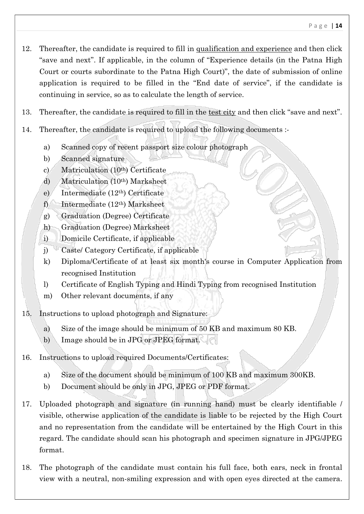- 12. Thereafter, the candidate is required to fill in qualification and experience and then click "save and next". If applicable, in the column of "Experience details (in the Patna High Court or courts subordinate to the Patna High Court)", the date of submission of online application is required to be filled in the "End date of service", if the candidate is continuing in service, so as to calculate the length of service.
- 13. Thereafter, the candidate is required to fill in the test city and then click "save and next".
- 14. Thereafter, the candidate is required to upload the following documents :
	- a) Scanned copy of recent passport size colour photograph
	- b) Scanned signature
	- c) Matriculation (10th) Certificate
	- d) Matriculation (10th) Marksheet
	- e) Intermediate (12th) Certificate
	- f) Intermediate  $(12<sup>th</sup>)$  Marksheet
	- g) Graduation (Degree) Certificate
	- h) Graduation (Degree) Marksheet
	- i) Domicile Certificate, if applicable
	- j) Caste/ Category Certificate, if applicable
	- k) Diploma/Certificate of at least six month's course in Computer Application from recognised Institution
	- l) Certificate of English Typing and Hindi Typing from recognised Institution
	- m) Other relevant documents, if any
- 15. Instructions to upload photograph and Signature:
	- a) Size of the image should be minimum of 50 KB and maximum 80 KB.
	- b) Image should be in JPG or JPEG format.
- 16. Instructions to upload required Documents/Certificates:
	- a) Size of the document should be minimum of 100 KB and maximum 300KB.
	- b) Document should be only in JPG, JPEG or PDF format.
- 17. Uploaded photograph and signature (in running hand) must be clearly identifiable / visible, otherwise application of the candidate is liable to be rejected by the High Court and no representation from the candidate will be entertained by the High Court in this regard. The candidate should scan his photograph and specimen signature in JPG/JPEG format.
- 18. The photograph of the candidate must contain his full face, both ears, neck in frontal view with a neutral, non-smiling expression and with open eyes directed at the camera.